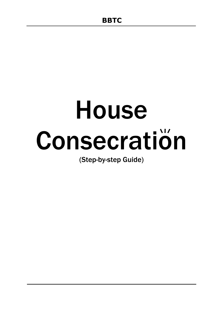# House Consecration

(Step-by-step Guide)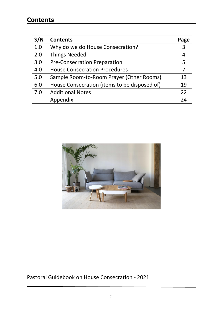## **Contents**

| S/N | <b>Contents</b>                              | Page |
|-----|----------------------------------------------|------|
| 1.0 | Why do we do House Consecration?             | 3    |
| 2.0 | <b>Things Needed</b>                         | 4    |
| 3.0 | <b>Pre-Consecration Preparation</b>          | 5    |
| 4.0 | <b>House Consecration Procedures</b>         | 7    |
| 5.0 | Sample Room-to-Room Prayer (Other Rooms)     | 13   |
| 6.0 | House Consecration (items to be disposed of) | 19   |
| 7.0 | <b>Additional Notes</b>                      | 22   |
|     | Appendix                                     | 24   |



Pastoral Guidebook on House Consecration - 2021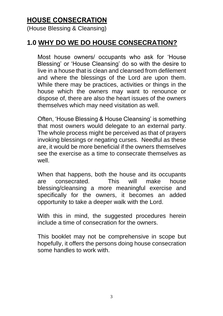## **HOUSE CONSECRATION**

(House Blessing & Cleansing)

# **1.0 WHY DO WE DO HOUSE CONSECRATION?**

Most house owners/ occupants who ask for 'House Blessing' or 'House Cleansing' do so with the desire to live in a house that is clean and cleansed from defilement and where the blessings of the Lord are upon them. While there may be practices, activities or things in the house which the owners may want to renounce or dispose of, there are also the heart issues of the owners themselves which may need visitation as well.

Often, 'House Blessing & House Cleansing' is something that most owners would delegate to an external party. The whole process might be perceived as that of prayers invoking blessings or negating curses. Needful as these are, it would be more beneficial if the owners themselves see the exercise as a time to consecrate themselves as well.

When that happens, both the house and its occupants are consecrated. This will make house blessing/cleansing a more meaningful exercise and specifically for the owners, it becomes an added opportunity to take a deeper walk with the Lord.

With this in mind, the suggested procedures herein include a time of consecration for the owners.

This booklet may not be comprehensive in scope but hopefully, it offers the persons doing house consecration some handles to work with.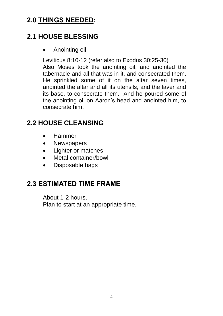# **2.0 THINGS NEEDED:**

# **2.1 HOUSE BLESSING**

• Anointing oil

Leviticus 8:10-12 (refer also to Exodus 30:25-30) Also Moses took the anointing oil, and anointed the tabernacle and all that was in it, and consecrated them. He sprinkled some of it on the altar seven times, anointed the altar and all its utensils, and the laver and its base, to consecrate them. And he poured some of the anointing oil on Aaron's head and anointed him, to consecrate him.

# **2.2 HOUSE CLEANSING**

- Hammer
- Newspapers
- Lighter or matches
- Metal container/bowl
- Disposable bags

# **2.3 ESTIMATED TIME FRAME**

About 1-2 hours. Plan to start at an appropriate time.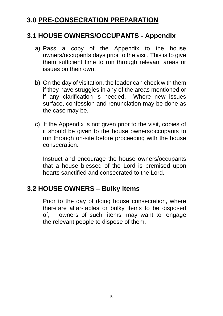## **3.0 PRE-CONSECRATION PREPARATION**

#### **3.1 HOUSE OWNERS/OCCUPANTS - Appendix**

- a) Pass a copy of the Appendix to the house owners/occupants days prior to the visit. This is to give them sufficient time to run through relevant areas or issues on their own.
- b) On the day of visitation, the leader can check with them if they have struggles in any of the areas mentioned or if any clarification is needed. Where new issues surface, confession and renunciation may be done as the case may be.
- c) If the Appendix is not given prior to the visit, copies of it should be given to the house owners/occupants to run through on-site before proceeding with the house consecration.

Instruct and encourage the house owners/occupants that a house blessed of the Lord is premised upon hearts sanctified and consecrated to the Lord.

## **3.2 HOUSE OWNERS – Bulky items**

Prior to the day of doing house consecration, where there are altar-tables or bulky items to be disposed of, owners of such items may want to engage the relevant people to dispose of them.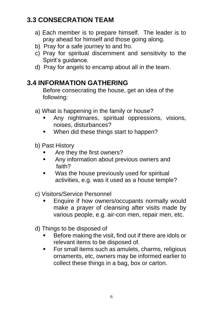# **3.3 CONSECRATION TEAM**

- a) Each member is to prepare himself. The leader is to pray ahead for himself and those going along.
- b) Pray for a safe journey to and fro.
- c) Pray for spiritual discernment and sensitivity to the Spirit's guidance.
- d) Pray for angels to encamp about all in the team.

# **3.4 INFORMATION GATHERING**

Before consecrating the house, get an idea of the following:

- a) What is happening in the family or house?
	- Any nightmares, spiritual oppressions, visions, noises, disturbances?
	- When did these things start to happen?
- b) Past History
	- Are they the first owners?
	- Any information about previous owners and faith?
	- Was the house previously used for spiritual activities, e.g. was it used as a house temple?
- c) Visitors/Service Personnel
	- Enquire if how owners/occupants normally would make a prayer of cleansing after visits made by various people, e.g. air-con men, repair men, etc.
- d) Things to be disposed of
	- Before making the visit, find out if there are idols or relevant items to be disposed of.
	- For small items such as amulets, charms, religious ornaments, etc, owners may be informed earlier to collect these things in a bag, box or carton.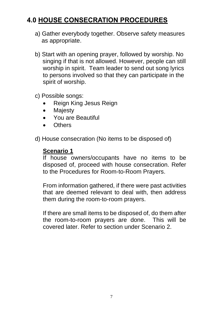# **4.0 HOUSE CONSECRATION PROCEDURES**

- a) Gather everybody together. Observe safety measures as appropriate.
- b) Start with an opening prayer, followed by worship. No singing if that is not allowed. However, people can still worship in spirit. Team leader to send out song lyrics to persons involved so that they can participate in the spirit of worship.
- c) Possible songs:
	- Reign King Jesus Reign
	- Majesty
	- You are Beautiful
	- Others
- d) House consecration (No items to be disposed of)

#### **Scenario 1**

If house owners/occupants have no items to be disposed of, proceed with house consecration. Refer to the Procedures for Room-to-Room Prayers.

From information gathered, if there were past activities that are deemed relevant to deal with, then address them during the room-to-room prayers.

If there are small items to be disposed of, do them after the room-to-room prayers are done. This will be covered later. Refer to section under Scenario 2.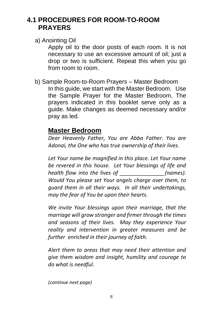## **4.1 PROCEDURES FOR ROOM-TO-ROOM PRAYERS**

a) Anointing Oil

Apply oil to the door posts of each room. It is not necessary to use an excessive amount of oil; just a drop or two is sufficient. Repeat this when you go from room to room.

b) Sample Room-to-Room Prayers – Master Bedroom In this guide, we start with the Master Bedroom. Use the Sample Prayer for the Master Bedroom. The prayers indicated in this booklet serve only as a guide. Make changes as deemed necessary and/or pray as led.

## **Master Bedroom**

*Dear Heavenly Father, You are Abba Father. You are Adonai, the One who has true ownership of their lives.*

*Let Your name be magnified in this place. Let Your name be revered in this house. Let Your blessings of life and health flow into the lives of*  $(names).$ *Would You please set Your angels charge over them, to guard them in all their ways. In all their undertakings, may the fear of You be upon their hearts.* 

*We invite Your blessings upon their marriage, that the marriage will grow stronger and firmer through the times and seasons of their lives. May they experience Your reality and intervention in greater measures and be further enriched in their journey of faith.*

*Alert them to areas that may need their attention and give them wisdom and insight, humility and courage to do what is needful.*

*(continue next page)*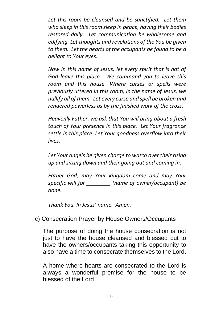*Let this room be cleansed and be sanctified. Let them who sleep in this room sleep in peace, having their bodies restored daily. Let communication be wholesome and edifying. Let thoughts and revelations of the You be given to them. Let the hearts of the occupants be found to be a delight to Your eyes.*

*Now in this name of Jesus, let every spirit that is not of God leave this place. We command you to leave this room and this house. Where curses or spells were previously uttered in this room, in the name of Jesus, we nullify all of them. Let every curse and spell be broken and rendered powerless as by the finished work of the cross.* 

*Heavenly Father, we ask that You will bring about a fresh touch of Your presence in this place. Let Your fragrance settle in this place. Let Your goodness overflow into their lives.*

*Let Your angels be given charge to watch over their rising up and sitting down and their going out and coming in.* 

*Father God, may Your kingdom come and may Your specific will for \_\_\_\_\_\_\_\_ (name of owner/occupant) be done.* 

*Thank You. In Jesus' name. Amen.*

c) Consecration Prayer by House Owners/Occupants

The purpose of doing the house consecration is not just to have the house cleansed and blessed but to have the owners/occupants taking this opportunity to also have a time to consecrate themselves to the Lord.

A home where hearts are consecrated to the Lord is always a wonderful premise for the house to be blessed of the Lord.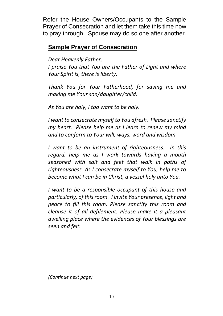Refer the House Owners/Occupants to the Sample Prayer of Consecration and let them take this time now to pray through. Spouse may do so one after another.

#### **Sample Prayer of Consecration**

*Dear Heavenly Father,*

*I praise You that You are the Father of Light and where Your Spirit is, there is liberty.* 

*Thank You for Your Fatherhood, for saving me and making me Your son/daughter/child.* 

*As You are holy, I too want to be holy.* 

*I want to consecrate myself to You afresh. Please sanctify my heart. Please help me as I learn to renew my mind and to conform to Your will, ways, word and wisdom.* 

*I want to be an instrument of righteousness. In this regard, help me as I work towards having a mouth seasoned with salt and feet that walk in paths of righteousness. As I consecrate myself to You, help me to become what I can be in Christ, a vessel holy unto You.* 

*I want to be a responsible occupant of this house and particularly, of this room. I invite Your presence, light and peace to fill this room. Please sanctify this room and cleanse it of all defilement. Please make it a pleasant dwelling place where the evidences of Your blessings are seen and felt.*

*(Continue next page)*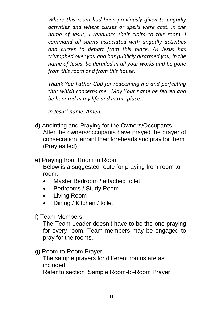*Where this room had been previously given to ungodly activities and where curses or spells were cast, in the name of Jesus, I renounce their claim to this room. I command all spirits associated with ungodly activities and curses to depart from this place. As Jesus has triumphed over you and has publicly disarmed you, in the name of Jesus, be derailed in all your works and be gone from this room and from this house.* 

*Thank You Father God for redeeming me and perfecting that which concerns me. May Your name be feared and be honored in my life and in this place.*

*In Jesus' name. Amen.*

- d) Anointing and Praying for the Owners/Occupants After the owners/occupants have prayed the prayer of consecration, anoint their foreheads and pray for them. (Pray as led)
- e) Praying from Room to Room Below is a suggested route for praying from room to room.
	- Master Bedroom / attached toilet
	- Bedrooms / Study Room
	- Living Room
	- Dining / Kitchen / toilet
- f) Team Members

The Team Leader doesn't have to be the one praying for every room. Team members may be engaged to pray for the rooms.

g) Room-to-Room Prayer

The sample prayers for different rooms are as included. Refer to section 'Sample Room-to-Room Prayer'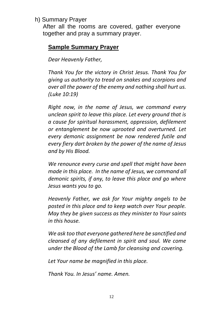#### h) Summary Prayer

After all the rooms are covered, gather everyone together and pray a summary prayer.

#### **Sample Summary Prayer**

*Dear Heavenly Father,*

*Thank You for the victory in Christ Jesus. Thank You for giving us authority to tread on snakes and scorpions and over all the power of the enemy and nothing shall hurt us. (Luke 10:19)*

*Right now, in the name of Jesus, we command every unclean spirit to leave this place. Let every ground that is a cause for spiritual harassment, oppression, defilement or entanglement be now uprooted and overturned. Let every demonic assignment be now rendered futile and every fiery dart broken by the power of the name of Jesus and by His Blood.* 

*We renounce every curse and spell that might have been made in this place. In the name of Jesus, we command all demonic spirits, if any, to leave this place and go where Jesus wants you to go.*

*Heavenly Father, we ask for Your mighty angels to be posted in this place and to keep watch over Your people. May they be given success as they minister to Your saints in this house.*

*We ask too that everyone gathered here be sanctified and cleansed of any defilement in spirit and soul. We come under the Blood of the Lamb for cleansing and covering.* 

*Let Your name be magnified in this place.*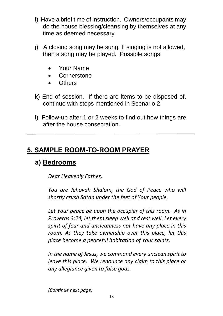- i) Have a brief time of instruction. Owners/occupants may do the house blessing/cleansing by themselves at any time as deemed necessary.
- j) A closing song may be sung. If singing is not allowed, then a song may be played. Possible songs:
	- Your Name
	- Cornerstone
	- Others
- k) End of session. If there are items to be disposed of, continue with steps mentioned in Scenario 2.
- l) Follow-up after 1 or 2 weeks to find out how things are after the house consecration.

# **5. SAMPLE ROOM-TO-ROOM PRAYER**

## **a) Bedrooms**

*Dear Heavenly Father,* 

*You are Jehovah Shalom, the God of Peace who will shortly crush Satan under the feet of Your people.* 

*Let Your peace be upon the occupier of this room. As in Proverbs 3:24, let them sleep well and rest well. Let every spirit of fear and uncleanness not have any place in this room. As they take ownership over this place, let this place become a peaceful habitation of Your saints.* 

*In the name of Jesus, we command every unclean spirit to leave this place. We renounce any claim to this place or any allegiance given to false gods.* 

*(Continue next page)*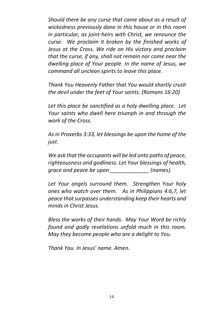*Should there be any curse that came about as a result of wickedness previously done in this house or in this room in particular, as joint-heirs with Christ, we renounce the curse. We proclaim it broken by the finished works of Jesus at the Cross. We ride on His victory and proclaim that the curse, if any, shall not remain nor come near the dwelling place of Your people. In the name of Jesus, we command all unclean spirits to leave this place.* 

*Thank You Heavenly Father that You would shortly crush the devil under the feet of Your saints. (Romans 16:20)*

*Let this place be sanctified as a holy dwelling place. Let Your saints who dwell here triumph in and through the work of the Cross.*

*As in Proverbs 3:33, let blessings be upon the home of the just.*

*We ask that the occupants will be led onto paths of peace, righteousness and godliness. Let Your blessings of health, grace and peace be upon \_\_\_\_\_\_\_\_\_\_\_\_\_ (names).* 

*Let Your angels surround them. Strengthen Your holy ones who watch over them. As in Philippians 4:6,7, let peace that surpasses understanding keep their hearts and minds in Christ Jesus.* 

*Bless the works of their hands. May Your Word be richly found and godly revelations unfold much in this room. May they become people who are a delight to You.*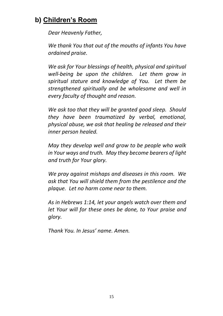# **b) Children's Room**

*Dear Heavenly Father,*

*We thank You that out of the mouths of infants You have ordained praise.* 

*We ask for Your blessings of health, physical and spiritual well-being be upon the children. Let them grow in spiritual stature and knowledge of You. Let them be strengthened spiritually and be wholesome and well in every faculty of thought and reason.* 

*We ask too that they will be granted good sleep. Should they have been traumatized by verbal, emotional, physical abuse, we ask that healing be released and their inner person healed.* 

*May they develop well and grow to be people who walk in Your ways and truth. May they become bearers of light and truth for Your glory.*

*We pray against mishaps and diseases in this room. We ask that You will shield them from the pestilence and the plaque. Let no harm come near to them.*

*As in Hebrews 1:14, let your angels watch over them and let Your will for these ones be done, to Your praise and glory.*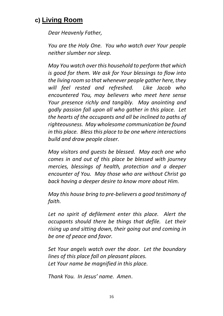## **c) Living Room**

*Dear Heavenly Father,*

*You are the Holy One. You who watch over Your people neither slumber nor sleep.*

*May You watch over this household to perform that which is good for them. We ask for Your blessings to flow into the living room so that whenever people gather here, they will feel rested and refreshed. Like Jacob who encountered You, may believers who meet here sense Your presence richly and tangibly. May anointing and godly passion fall upon all who gather in this place. Let the hearts of the occupants and all be inclined to paths of righteousness. May wholesome communication be found in this place. Bless this place to be one where interactions build and draw people closer.* 

*May visitors and guests be blessed. May each one who comes in and out of this place be blessed with journey mercies, blessings of health, protection and a deeper encounter of You. May those who are without Christ go back having a deeper desire to know more about Him.* 

*May this house bring to pre-believers a good testimony of faith.*

Let no spirit of defilement enter this place. Alert the *occupants should there be things that defile. Let their rising up and sitting down, their going out and coming in be one of peace and favor.* 

*Set Your angels watch over the door. Let the boundary lines of this place fall on pleasant places. Let Your name be magnified in this place.*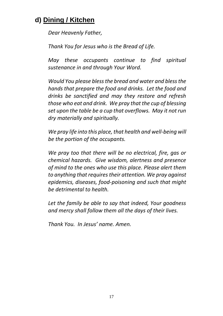# **d) Dining / Kitchen**

*Dear Heavenly Father,*

*Thank You for Jesus who is the Bread of Life.*

*May these occupants continue to find spiritual sustenance in and through Your Word.*

*Would You please bless the bread and water and bless the hands that prepare the food and drinks. Let the food and drinks be sanctified and may they restore and refresh those who eat and drink. We pray that the cup of blessing set upon the table be a cup that overflows. May it not run dry materially and spiritually.* 

*We pray life into this place, that health and well-being will be the portion of the occupants.*

*We pray too that there will be no electrical, fire, gas or chemical hazards. Give wisdom, alertness and presence of mind to the ones who use this place. Please alert them to anything that requires their attention. We pray against epidemics, diseases, food-poisoning and such that might be detrimental to health.*

*Let the family be able to say that indeed, Your goodness and mercy shall follow them all the days of their lives.*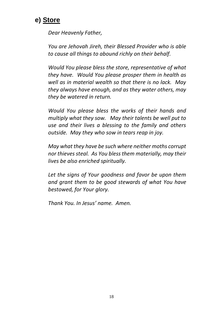

*Dear Heavenly Father,*

*You are Jehovah Jireh, their Blessed Provider who is able to cause all things to abound richly on their behalf.*

*Would You please bless the store, representative of what they have. Would You please prosper them in health as well as in material wealth so that there is no lack. May they always have enough, and as they water others, may they be watered in return.*

*Would You please bless the works of their hands and multiply what they sow. May their talents be well put to use and their lives a blessing to the family and others outside. May they who sow in tears reap in joy.* 

*May what they have be such where neither moths corrupt nor thieves steal. As You bless them materially, may their lives be also enriched spiritually.* 

*Let the signs of Your goodness and favor be upon them and grant them to be good stewards of what You have bestowed, for Your glory.*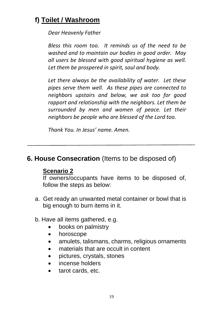# **f) Toilet / Washroom**

#### *Dear Heavenly Father*

*Bless this room too. It reminds us of the need to be washed and to maintain our bodies in good order. May all users be blessed with good spiritual hygiene as well. Let them be prospered in spirit, soul and body.*

*Let there always be the availability of water. Let these pipes serve them well. As these pipes are connected to neighbors upstairs and below, we ask too for good rapport and relationship with the neighbors. Let them be surrounded by men and women of peace. Let their neighbors be people who are blessed of the Lord too.*

*Thank You. In Jesus' name. Amen.*

## **6. House Consecration** (Items to be disposed of)

#### **Scenario 2**

If owners/occupants have items to be disposed of, follow the steps as below:

- a. Get ready an unwanted metal container or bowl that is big enough to burn items in it.
- b. Have all items gathered, e.g.
	- books on palmistry
	- horoscope
	- amulets, talismans, charms, religious ornaments
	- materials that are occult in content
	- pictures, crystals, stones
	- incense holders
	- tarot cards, etc.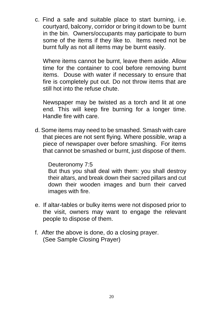c. Find a safe and suitable place to start burning, i.e. courtyard, balcony, corridor or bring it down to be burnt in the bin. Owners/occupants may participate to burn some of the items if they like to. Items need not be burnt fully as not all items may be burnt easily.

Where items cannot be burnt, leave them aside. Allow time for the container to cool before removing burnt items. Douse with water if necessary to ensure that fire is completely put out. Do not throw items that are still hot into the refuse chute.

Newspaper may be twisted as a torch and lit at one end. This will keep fire burning for a longer time. Handle fire with care.

d. Some items may need to be smashed. Smash with care that pieces are not sent flying. Where possible, wrap a piece of newspaper over before smashing. For items that cannot be smashed or burnt, just dispose of them.

#### Deuteronomy 7:5

But thus you shall deal with them: you shall destroy their altars, and break down their sacred pillars and cut down their wooden images and burn their carved images with fire.

- e. If altar-tables or bulky items were not disposed prior to the visit, owners may want to engage the relevant people to dispose of them.
- f. After the above is done, do a closing prayer. (See Sample Closing Prayer)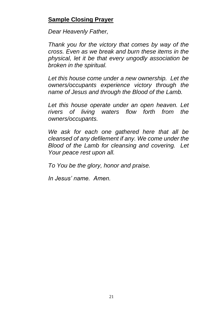#### **Sample Closing Prayer**

*Dear Heavenly Father,*

*Thank you for the victory that comes by way of the cross. Even as we break and burn these items in the physical, let it be that every ungodly association be broken in the spiritual.*

*Let this house come under a new ownership. Let the owners/occupants experience victory through the name of Jesus and through the Blood of the Lamb.*

*Let this house operate under an open heaven. Let rivers of living waters flow forth from the owners/occupants.* 

*We ask for each one gathered here that all be cleansed of any defilement if any. We come under the Blood of the Lamb for cleansing and covering. Let Your peace rest upon all.*

*To You be the glory, honor and praise.*

*In Jesus' name. Amen.*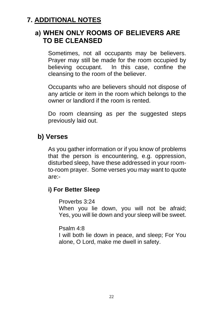## **7. ADDITIONAL NOTES**

## **a) WHEN ONLY ROOMS OF BELIEVERS ARE TO BE CLEANSED**

Sometimes, not all occupants may be believers. Prayer may still be made for the room occupied by believing occupant. In this case, confine the cleansing to the room of the believer.

Occupants who are believers should not dispose of any article or item in the room which belongs to the owner or landlord if the room is rented.

Do room cleansing as per the suggested steps previously laid out.

## **b) Verses**

As you gather information or if you know of problems that the person is encountering, e.g. oppression, disturbed sleep, have these addressed in your roomto-room prayer. Some verses you may want to quote are:-

#### **i) For Better Sleep**

Proverbs 3:24

When you lie down, you will not be afraid; Yes, you will lie down and your sleep will be sweet.

Psalm 4:8

I will both lie down in peace, and sleep; For You alone, O Lord, make me dwell in safety.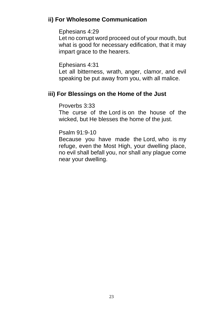#### **ii) For Wholesome Communication**

#### Ephesians 4:29

Let no corrupt word proceed out of your mouth, but what is good for necessary edification, that it may impart grace to the hearers.

#### Ephesians 4:31

Let all bitterness, wrath, anger, clamor, and evil speaking be put away from you, with all malice.

#### **iii) For Blessings on the Home of the Just**

#### Proverbs 3:33

The curse of the Lord is on the house of the wicked, but He blesses the home of the just.

#### Psalm 91:9-10

Because you have made the Lord, who is my refuge, even the Most High, your dwelling place, no evil shall befall you, nor shall any plague come near your dwelling.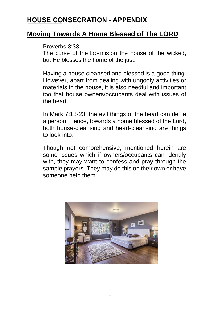## **HOUSE CONSECRATION - APPENDIX**

#### **Moving Towards A Home Blessed of The LORD**

#### Proverbs 3:33

The curse of the LORD is on the house of the wicked, but He blesses the home of the just.

Having a house cleansed and blessed is a good thing. However, apart from dealing with ungodly activities or materials in the house, it is also needful and important too that house owners/occupants deal with issues of the heart.

In Mark 7:18-23, the evil things of the heart can defile a person. Hence, towards a home blessed of the Lord, both house-cleansing and heart-cleansing are things to look into.

Though not comprehensive, mentioned herein are some issues which if owners/occupants can identify with, they may want to confess and pray through the sample prayers. They may do this on their own or have someone help them.

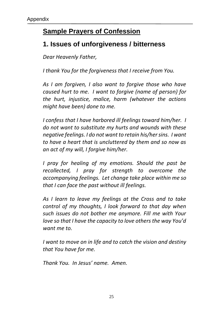# **Sample Prayers of Confession**

## **1. Issues of unforgiveness / bitterness**

*Dear Heavenly Father,* 

*I thank You for the forgiveness that I receive from You.* 

*As I am forgiven, I also want to forgive those who have caused hurt to me. I want to forgive (name of person) for the hurt, injustice, malice, harm (whatever the actions might have been) done to me.*

*I confess that I have harbored ill feelings toward him/her. I do not want to substitute my hurts and wounds with these negative feelings. I do not want to retain his/her sins. I want to have a heart that is uncluttered by them and so now as an act of my will, I forgive him/her.* 

*I pray for healing of my emotions. Should the past be recollected, I pray for strength to overcome the accompanying feelings. Let change take place within me so that I can face the past without ill feelings.* 

*As I learn to leave my feelings at the Cross and to take control of my thoughts, I look forward to that day when such issues do not bother me anymore. Fill me with Your love so that I have the capacity to love others the way You'd want me to.* 

*I want to move on in life and to catch the vision and destiny that You have for me.*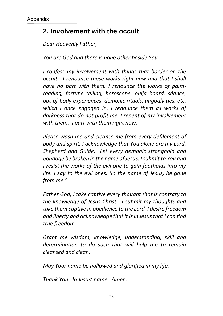## **2. Involvement with the occult**

*Dear Heavenly Father,*

*You are God and there is none other beside You.*

*I confess my involvement with things that border on the occult. I renounce these works right now and that I shall have no part with them. I renounce the works of palmreading, fortune telling, horoscope, ouija board, séance, out-of-body experiences, demonic rituals, ungodly ties, etc, which I once engaged in. I renounce them as works of darkness that do not profit me. I repent of my involvement with them. I part with them right now.* 

*Please wash me and cleanse me from every defilement of body and spirit. I acknowledge that You alone are my Lord, Shepherd and Guide. Let every demonic stronghold and bondage be broken in the name of Jesus. I submit to You and I resist the works of the evil one to gain footholds into my life. I say to the evil ones, 'In the name of Jesus, be gone from me.'*

*Father God, I take captive every thought that is contrary to the knowledge of Jesus Christ. I submit my thoughts and take them captive in obedience to the Lord. I desire freedom and liberty and acknowledge that it is in Jesus that I can find true freedom.* 

*Grant me wisdom, knowledge, understanding, skill and determination to do such that will help me to remain cleansed and clean.* 

*May Your name be hallowed and glorified in my life.*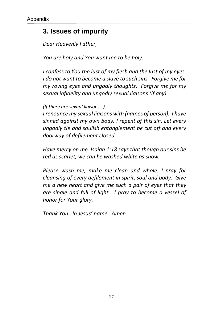## **3. Issues of impurity**

*Dear Heavenly Father,* 

*You are holy and You want me to be holy.*

*I confess to You the lust of my flesh and the lust of my eyes. I do not want to become a slave to such sins. Forgive me for my roving eyes and ungodly thoughts. Forgive me for my sexual infidelity and ungodly sexual liaisons (if any).* 

*(If there are sexual liaisons…)* 

*I renounce my sexual liaisons with (names of person). I have sinned against my own body. I repent of this sin. Let every ungodly tie and soulish entanglement be cut off and every doorway of defilement closed.* 

*Have mercy on me. Isaiah 1:18 says that though our sins be red as scarlet, we can be washed white as snow.*

*Please wash me, make me clean and whole. I pray for cleansing of every defilement in spirit, soul and body. Give me a new heart and give me such a pair of eyes that they are single and full of light. I pray to become a vessel of honor for Your glory.*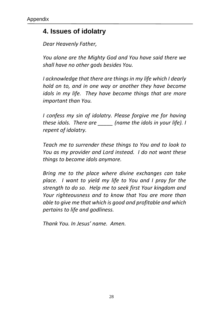## **4. Issues of idolatry**

*Dear Heavenly Father,*

*You alone are the Mighty God and You have said there we shall have no other gods besides You.* 

*I acknowledge that there are things in my life which I dearly hold on to, and in one way or another they have become idols in my life. They have become things that are more important than You.* 

*I confess my sin of idolatry. Please forgive me for having these idols. There are \_\_\_\_\_ (name the idols in your life). I repent of idolatry.*

*Teach me to surrender these things to You and to look to You as my provider and Lord instead. I do not want these things to become idols anymore.* 

*Bring me to the place where divine exchanges can take place. I want to yield my life to You and I pray for the strength to do so. Help me to seek first Your kingdom and Your righteousness and to know that You are more than able to give me that which is good and profitable and which pertains to life and godliness.*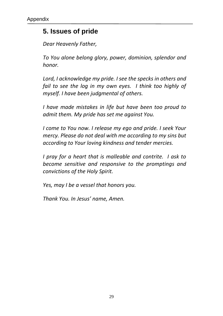## **5. Issues of pride**

*Dear Heavenly Father,*

*To You alone belong glory, power, dominion, splendor and honor.*

*Lord, I acknowledge my pride. I see the specks in others and fail to see the log in my own eyes. I think too highly of myself. I have been judgmental of others.* 

*I have made mistakes in life but have been too proud to admit them. My pride has set me against You.*

*I come to You now. I release my ego and pride. I seek Your mercy. Please do not deal with me according to my sins but according to Your loving kindness and tender mercies.*

*I pray for a heart that is malleable and contrite. I ask to become sensitive and responsive to the promptings and convictions of the Holy Spirit.*

*Yes, may I be a vessel that honors you.*